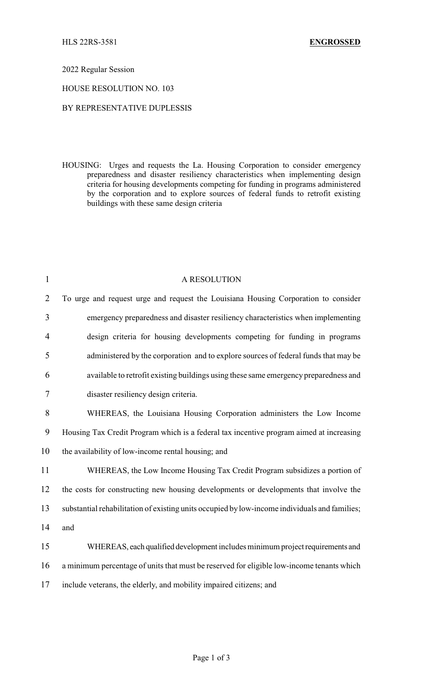## 2022 Regular Session

## HOUSE RESOLUTION NO. 103

## BY REPRESENTATIVE DUPLESSIS

HOUSING: Urges and requests the La. Housing Corporation to consider emergency preparedness and disaster resiliency characteristics when implementing design criteria for housing developments competing for funding in programs administered by the corporation and to explore sources of federal funds to retrofit existing buildings with these same design criteria

| $\mathbf{1}$   | A RESOLUTION                                                                                  |
|----------------|-----------------------------------------------------------------------------------------------|
| $\overline{2}$ | To urge and request urge and request the Louisiana Housing Corporation to consider            |
| $\mathfrak{Z}$ | emergency preparedness and disaster resiliency characteristics when implementing              |
| 4              | design criteria for housing developments competing for funding in programs                    |
| 5              | administered by the corporation and to explore sources of federal funds that may be           |
| 6              | available to retrofit existing buildings using these same emergency preparedness and          |
| $\tau$         | disaster resiliency design criteria.                                                          |
| 8              | WHEREAS, the Louisiana Housing Corporation administers the Low Income                         |
| 9              | Housing Tax Credit Program which is a federal tax incentive program aimed at increasing       |
| 10             | the availability of low-income rental housing; and                                            |
| 11             | WHEREAS, the Low Income Housing Tax Credit Program subsidizes a portion of                    |
| 12             | the costs for constructing new housing developments or developments that involve the          |
| 13             | substantial rehabilitation of existing units occupied by low-income individuals and families; |
| 14             | and                                                                                           |
| 15             | WHEREAS, each qualified development includes minimum project requirements and                 |
| 16             | a minimum percentage of units that must be reserved for eligible low-income tenants which     |
| 17             | include veterans, the elderly, and mobility impaired citizens; and                            |
|                |                                                                                               |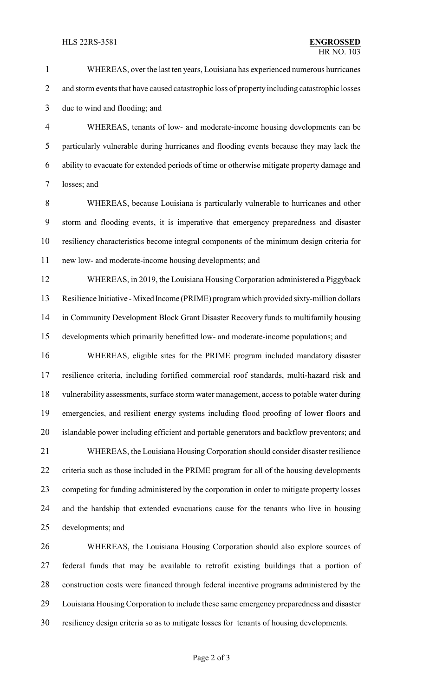WHEREAS, over the last ten years, Louisiana has experienced numerous hurricanes 2 and storm events that have caused catastrophic loss of property including catastrophic losses due to wind and flooding; and

 WHEREAS, tenants of low- and moderate-income housing developments can be particularly vulnerable during hurricanes and flooding events because they may lack the ability to evacuate for extended periods of time or otherwise mitigate property damage and losses; and

 WHEREAS, because Louisiana is particularly vulnerable to hurricanes and other storm and flooding events, it is imperative that emergency preparedness and disaster resiliency characteristics become integral components of the minimum design criteria for new low- and moderate-income housing developments; and

 WHEREAS, in 2019, the Louisiana Housing Corporation administered a Piggyback Resilience Initiative -Mixed Income (PRIME) program which provided sixty-million dollars in Community Development Block Grant Disaster Recovery funds to multifamily housing developments which primarily benefitted low- and moderate-income populations; and

 WHEREAS, eligible sites for the PRIME program included mandatory disaster resilience criteria, including fortified commercial roof standards, multi-hazard risk and vulnerability assessments, surface storm water management, access to potable water during emergencies, and resilient energy systems including flood proofing of lower floors and islandable power including efficient and portable generators and backflow preventors; and

 WHEREAS, the Louisiana Housing Corporation should consider disaster resilience criteria such as those included in the PRIME program for all of the housing developments competing for funding administered by the corporation in order to mitigate property losses and the hardship that extended evacuations cause for the tenants who live in housing developments; and

 WHEREAS, the Louisiana Housing Corporation should also explore sources of federal funds that may be available to retrofit existing buildings that a portion of construction costs were financed through federal incentive programs administered by the Louisiana Housing Corporation to include these same emergency preparedness and disaster resiliency design criteria so as to mitigate losses for tenants of housing developments.